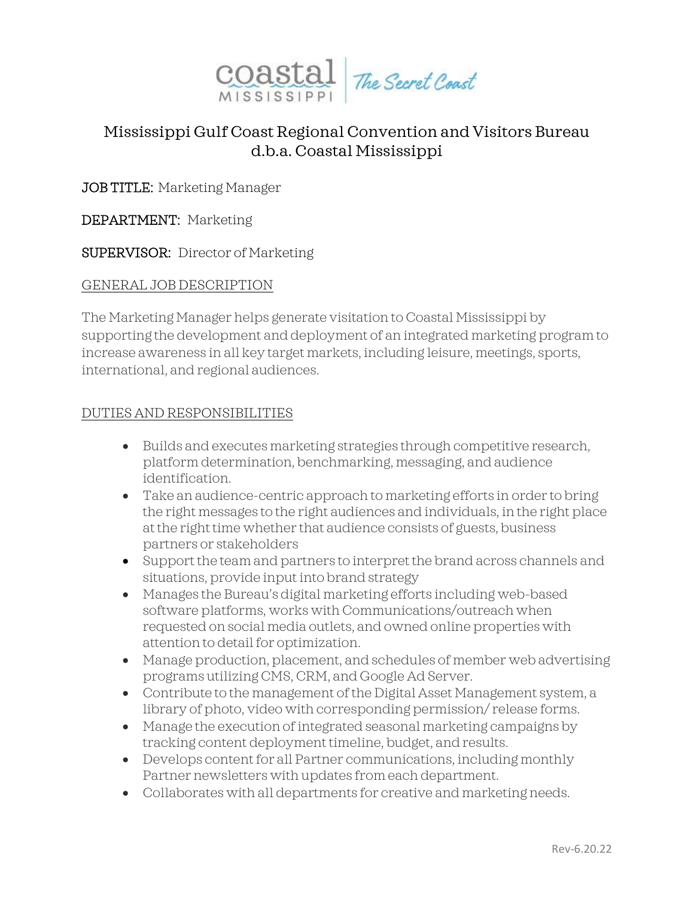

## Mississippi Gulf Coast Regional Convention and Visitors Bureau d.b.a. Coastal Mississippi

JOB TITLE: Marketing Manager

DEPARTMENT: Marketing

SUPERVISOR: Director of Marketing

## GENERAL JOB DESCRIPTION

The Marketing Manager helps generate visitation to Coastal Mississippi by supporting the development and deployment of an integrated marketing program to increase awareness in all key target markets, including leisure, meetings, sports, international, and regional audiences.

## DUTIES AND RESPONSIBILITIES

- Builds and executes marketing strategies through competitive research, platform determination, benchmarking, messaging, and audience identification.
- Take an audience-centric approach to marketing efforts in order to bring the right messages to the right audiences and individuals, in the right place at the right time whether that audience consists of guests, business partners or stakeholders
- Support the team and partners to interpret the brand across channels and situations, provide input into brand strategy
- Manages the Bureau's digital marketing efforts including web-based software platforms, works with Communications/outreach when requested on social media outlets, and owned online properties with attention to detail for optimization.
- Manage production, placement, and schedules of member web advertising programs utilizing CMS, CRM, and Google Ad Server.
- Contribute to the management of the Digital Asset Management system, a library of photo, video with corresponding permission/ release forms.
- Manage the execution of integrated seasonal marketing campaigns by tracking content deployment timeline, budget, and results.
- Develops content for all Partner communications, including monthly Partner newsletters with updates from each department.
- Collaborates with all departments for creative and marketing needs.